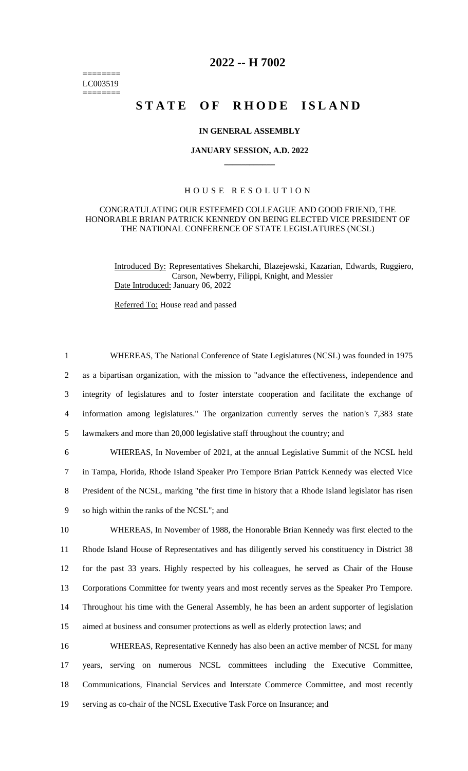======== LC003519 ========

## **2022 -- H 7002**

# STATE OF RHODE ISLAND

#### **IN GENERAL ASSEMBLY**

#### **JANUARY SESSION, A.D. 2022 \_\_\_\_\_\_\_\_\_\_\_\_**

### H O U S E R E S O L U T I O N

#### CONGRATULATING OUR ESTEEMED COLLEAGUE AND GOOD FRIEND, THE HONORABLE BRIAN PATRICK KENNEDY ON BEING ELECTED VICE PRESIDENT OF THE NATIONAL CONFERENCE OF STATE LEGISLATURES (NCSL)

Introduced By: Representatives Shekarchi, Blazejewski, Kazarian, Edwards, Ruggiero, Carson, Newberry, Filippi, Knight, and Messier Date Introduced: January 06, 2022

Referred To: House read and passed

 WHEREAS, The National Conference of State Legislatures (NCSL) was founded in 1975 as a bipartisan organization, with the mission to "advance the effectiveness, independence and integrity of legislatures and to foster interstate cooperation and facilitate the exchange of information among legislatures." The organization currently serves the nation's 7,383 state lawmakers and more than 20,000 legislative staff throughout the country; and WHEREAS, In November of 2021, at the annual Legislative Summit of the NCSL held in Tampa, Florida, Rhode Island Speaker Pro Tempore Brian Patrick Kennedy was elected Vice President of the NCSL, marking "the first time in history that a Rhode Island legislator has risen so high within the ranks of the NCSL"; and WHEREAS, In November of 1988, the Honorable Brian Kennedy was first elected to the Rhode Island House of Representatives and has diligently served his constituency in District 38 for the past 33 years. Highly respected by his colleagues, he served as Chair of the House Corporations Committee for twenty years and most recently serves as the Speaker Pro Tempore. Throughout his time with the General Assembly, he has been an ardent supporter of legislation aimed at business and consumer protections as well as elderly protection laws; and WHEREAS, Representative Kennedy has also been an active member of NCSL for many years, serving on numerous NCSL committees including the Executive Committee, Communications, Financial Services and Interstate Commerce Committee, and most recently

19 serving as co-chair of the NCSL Executive Task Force on Insurance; and